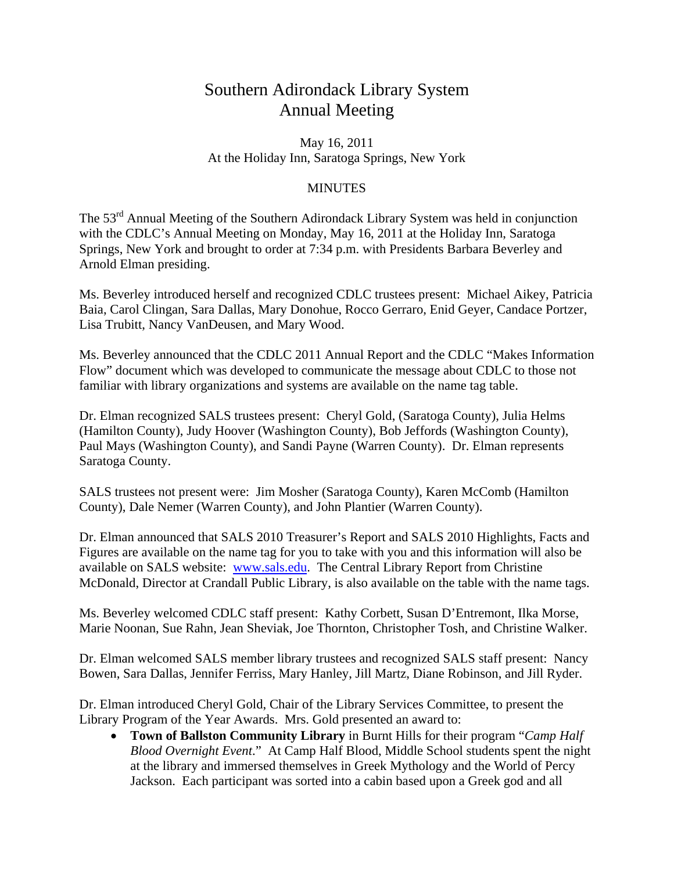## Southern Adirondack Library System Annual Meeting

May 16, 2011 At the Holiday Inn, Saratoga Springs, New York

## **MINUTES**

The 53rd Annual Meeting of the Southern Adirondack Library System was held in conjunction with the CDLC's Annual Meeting on Monday, May 16, 2011 at the Holiday Inn, Saratoga Springs, New York and brought to order at 7:34 p.m. with Presidents Barbara Beverley and Arnold Elman presiding.

Ms. Beverley introduced herself and recognized CDLC trustees present: Michael Aikey, Patricia Baia, Carol Clingan, Sara Dallas, Mary Donohue, Rocco Gerraro, Enid Geyer, Candace Portzer, Lisa Trubitt, Nancy VanDeusen, and Mary Wood.

Ms. Beverley announced that the CDLC 2011 Annual Report and the CDLC "Makes Information Flow" document which was developed to communicate the message about CDLC to those not familiar with library organizations and systems are available on the name tag table.

Dr. Elman recognized SALS trustees present: Cheryl Gold, (Saratoga County), Julia Helms (Hamilton County), Judy Hoover (Washington County), Bob Jeffords (Washington County), Paul Mays (Washington County), and Sandi Payne (Warren County). Dr. Elman represents Saratoga County.

SALS trustees not present were: Jim Mosher (Saratoga County), Karen McComb (Hamilton County), Dale Nemer (Warren County), and John Plantier (Warren County).

Dr. Elman announced that SALS 2010 Treasurer's Report and SALS 2010 Highlights, Facts and Figures are available on the name tag for you to take with you and this information will also be available on SALS website: www.sals.edu. The Central Library Report from Christine McDonald, Director at Crandall Public Library, is also available on the table with the name tags.

Ms. Beverley welcomed CDLC staff present: Kathy Corbett, Susan D'Entremont, Ilka Morse, Marie Noonan, Sue Rahn, Jean Sheviak, Joe Thornton, Christopher Tosh, and Christine Walker.

Dr. Elman welcomed SALS member library trustees and recognized SALS staff present: Nancy Bowen, Sara Dallas, Jennifer Ferriss, Mary Hanley, Jill Martz, Diane Robinson, and Jill Ryder.

Dr. Elman introduced Cheryl Gold, Chair of the Library Services Committee, to present the Library Program of the Year Awards. Mrs. Gold presented an award to:

• **Town of Ballston Community Library** in Burnt Hills for their program "*Camp Half Blood Overnight Event*." At Camp Half Blood, Middle School students spent the night at the library and immersed themselves in Greek Mythology and the World of Percy Jackson. Each participant was sorted into a cabin based upon a Greek god and all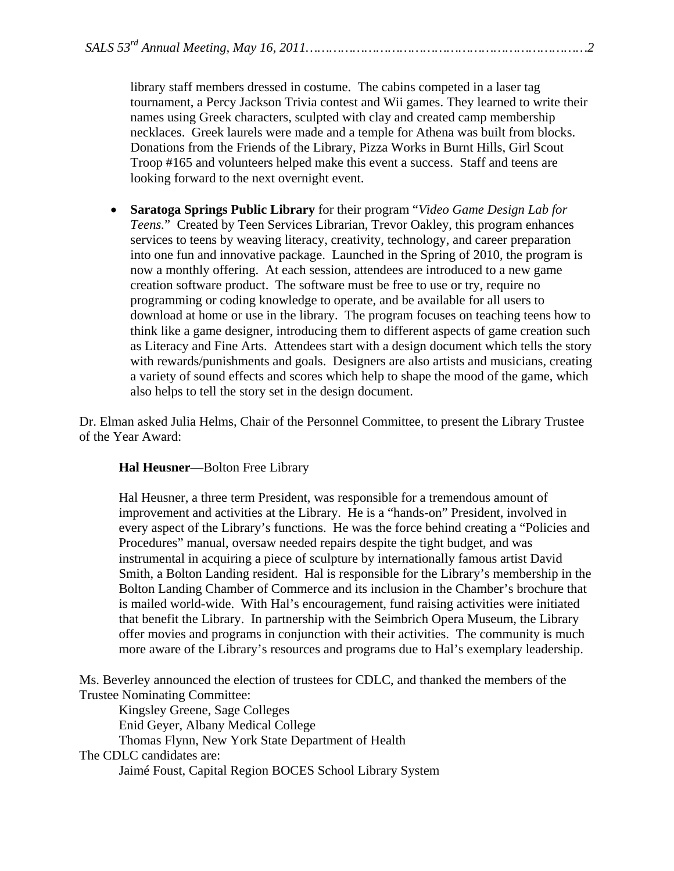library staff members dressed in costume. The cabins competed in a laser tag tournament, a Percy Jackson Trivia contest and Wii games. They learned to write their names using Greek characters, sculpted with clay and created camp membership necklaces. Greek laurels were made and a temple for Athena was built from blocks. Donations from the Friends of the Library, Pizza Works in Burnt Hills, Girl Scout Troop #165 and volunteers helped make this event a success. Staff and teens are looking forward to the next overnight event.

• **Saratoga Springs Public Library** for their program "*Video Game Design Lab for Teens.*" Created by Teen Services Librarian, Trevor Oakley, this program enhances services to teens by weaving literacy, creativity, technology, and career preparation into one fun and innovative package. Launched in the Spring of 2010, the program is now a monthly offering. At each session, attendees are introduced to a new game creation software product. The software must be free to use or try, require no programming or coding knowledge to operate, and be available for all users to download at home or use in the library. The program focuses on teaching teens how to think like a game designer, introducing them to different aspects of game creation such as Literacy and Fine Arts. Attendees start with a design document which tells the story with rewards/punishments and goals. Designers are also artists and musicians, creating a variety of sound effects and scores which help to shape the mood of the game, which also helps to tell the story set in the design document.

Dr. Elman asked Julia Helms, Chair of the Personnel Committee, to present the Library Trustee of the Year Award:

## **Hal Heusner**—Bolton Free Library

Hal Heusner, a three term President, was responsible for a tremendous amount of improvement and activities at the Library. He is a "hands-on" President, involved in every aspect of the Library's functions. He was the force behind creating a "Policies and Procedures" manual, oversaw needed repairs despite the tight budget, and was instrumental in acquiring a piece of sculpture by internationally famous artist David Smith, a Bolton Landing resident. Hal is responsible for the Library's membership in the Bolton Landing Chamber of Commerce and its inclusion in the Chamber's brochure that is mailed world-wide. With Hal's encouragement, fund raising activities were initiated that benefit the Library. In partnership with the Seimbrich Opera Museum, the Library offer movies and programs in conjunction with their activities. The community is much more aware of the Library's resources and programs due to Hal's exemplary leadership.

Ms. Beverley announced the election of trustees for CDLC, and thanked the members of the Trustee Nominating Committee:

 Kingsley Greene, Sage Colleges Enid Geyer, Albany Medical College Thomas Flynn, New York State Department of Health

## The CDLC candidates are:

Jaimé Foust, Capital Region BOCES School Library System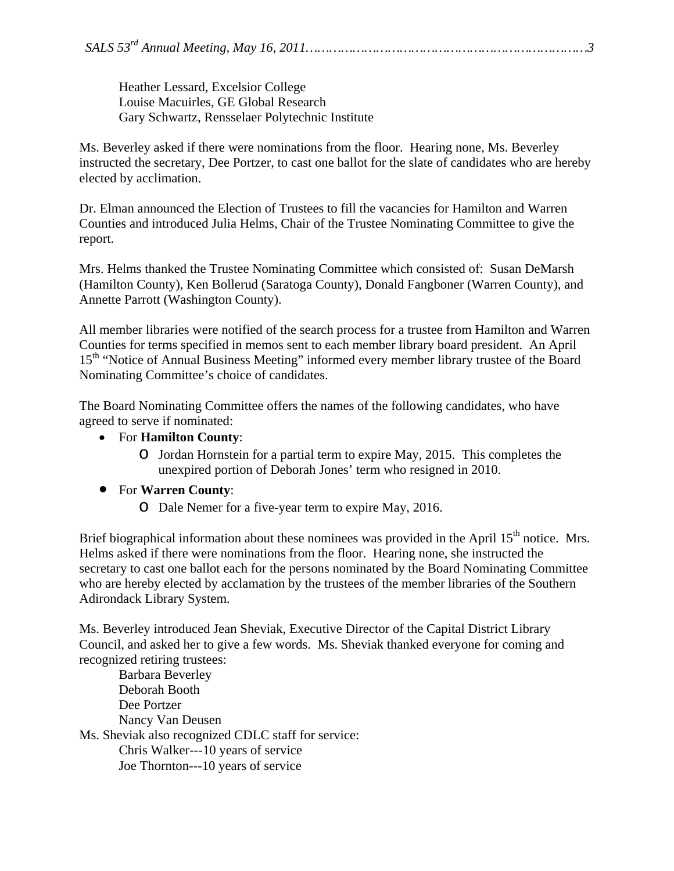Heather Lessard, Excelsior College Louise Macuirles, GE Global Research Gary Schwartz, Rensselaer Polytechnic Institute

Ms. Beverley asked if there were nominations from the floor. Hearing none, Ms. Beverley instructed the secretary, Dee Portzer, to cast one ballot for the slate of candidates who are hereby elected by acclimation.

Dr. Elman announced the Election of Trustees to fill the vacancies for Hamilton and Warren Counties and introduced Julia Helms, Chair of the Trustee Nominating Committee to give the report.

Mrs. Helms thanked the Trustee Nominating Committee which consisted of: Susan DeMarsh (Hamilton County), Ken Bollerud (Saratoga County), Donald Fangboner (Warren County), and Annette Parrott (Washington County).

All member libraries were notified of the search process for a trustee from Hamilton and Warren Counties for terms specified in memos sent to each member library board president. An April 15<sup>th</sup> "Notice of Annual Business Meeting" informed every member library trustee of the Board Nominating Committee's choice of candidates.

The Board Nominating Committee offers the names of the following candidates, who have agreed to serve if nominated:

- For **Hamilton County**:
	- o Jordan Hornstein for a partial term to expire May, 2015. This completes the unexpired portion of Deborah Jones' term who resigned in 2010.
- For **Warren County**:
	- o Dale Nemer for a five-year term to expire May, 2016.

Brief biographical information about these nominees was provided in the April 15<sup>th</sup> notice. Mrs. Helms asked if there were nominations from the floor. Hearing none, she instructed the secretary to cast one ballot each for the persons nominated by the Board Nominating Committee who are hereby elected by acclamation by the trustees of the member libraries of the Southern Adirondack Library System.

Ms. Beverley introduced Jean Sheviak, Executive Director of the Capital District Library Council, and asked her to give a few words. Ms. Sheviak thanked everyone for coming and recognized retiring trustees:

 Barbara Beverley Deborah Booth Dee Portzer Nancy Van Deusen Ms. Sheviak also recognized CDLC staff for service: Chris Walker---10 years of service Joe Thornton---10 years of service